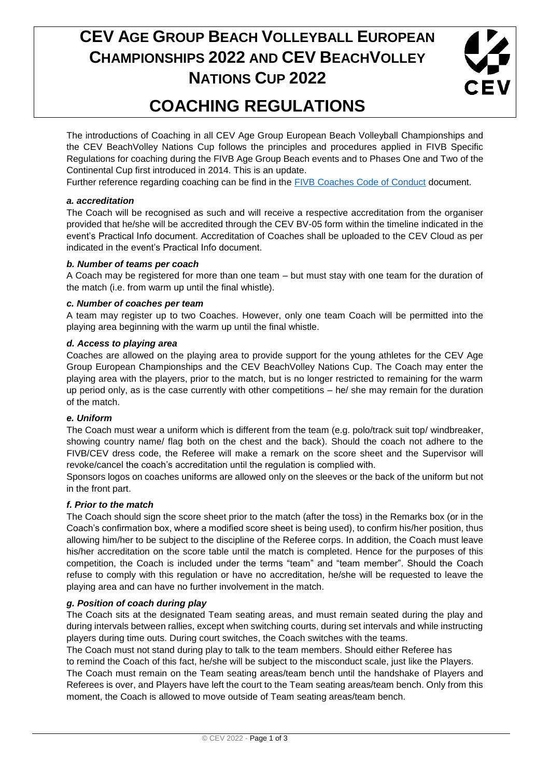# **CEV AGE GROUP BEACH VOLLEYBALL EUROPEAN CHAMPIONSHIPS 2022 AND CEV BEACHVOLLEY NATIONS CUP 2022**



### **COACHING REGULATIONS**

The introductions of Coaching in all CEV Age Group European Beach Volleyball Championships and the CEV BeachVolley Nations Cup follows the principles and procedures applied in FIVB Specific Regulations for coaching during the FIVB Age Group Beach events and to Phases One and Two of the Continental Cup first introduced in 2014. This is an update.

Further reference regarding coaching can be find in the [FIVB Coaches Code of Conduct](https://www.fivb.com/en/beachvolleyball/tools/forms) document.

#### *a. accreditation*

The Coach will be recognised as such and will receive a respective accreditation from the organiser provided that he/she will be accredited through the CEV BV-05 form within the timeline indicated in the event's Practical Info document. Accreditation of Coaches shall be uploaded to the CEV Cloud as per indicated in the event's Practical Info document.

#### *b. Number of teams per coach*

A Coach may be registered for more than one team – but must stay with one team for the duration of the match (i.e. from warm up until the final whistle).

#### *c. Number of coaches per team*

A team may register up to two Coaches. However, only one team Coach will be permitted into the playing area beginning with the warm up until the final whistle.

#### *d. Access to playing area*

Coaches are allowed on the playing area to provide support for the young athletes for the CEV Age Group European Championships and the CEV BeachVolley Nations Cup. The Coach may enter the playing area with the players, prior to the match, but is no longer restricted to remaining for the warm up period only, as is the case currently with other competitions – he/ she may remain for the duration of the match.

#### *e. Uniform*

The Coach must wear a uniform which is different from the team (e.g. polo/track suit top/ windbreaker, showing country name/ flag both on the chest and the back). Should the coach not adhere to the FIVB/CEV dress code, the Referee will make a remark on the score sheet and the Supervisor will revoke/cancel the coach's accreditation until the regulation is complied with.

Sponsors logos on coaches uniforms are allowed only on the sleeves or the back of the uniform but not in the front part.

#### *f. Prior to the match*

The Coach should sign the score sheet prior to the match (after the toss) in the Remarks box (or in the Coach's confirmation box, where a modified score sheet is being used), to confirm his/her position, thus allowing him/her to be subject to the discipline of the Referee corps. In addition, the Coach must leave his/her accreditation on the score table until the match is completed. Hence for the purposes of this competition, the Coach is included under the terms "team" and "team member". Should the Coach refuse to comply with this regulation or have no accreditation, he/she will be requested to leave the playing area and can have no further involvement in the match.

#### *g. Position of coach during play*

The Coach sits at the designated Team seating areas, and must remain seated during the play and during intervals between rallies, except when switching courts, during set intervals and while instructing players during time outs. During court switches, the Coach switches with the teams.

The Coach must not stand during play to talk to the team members. Should either Referee has to remind the Coach of this fact, he/she will be subject to the misconduct scale, just like the Players. The Coach must remain on the Team seating areas/team bench until the handshake of Players and Referees is over, and Players have left the court to the Team seating areas/team bench. Only from this moment, the Coach is allowed to move outside of Team seating areas/team bench.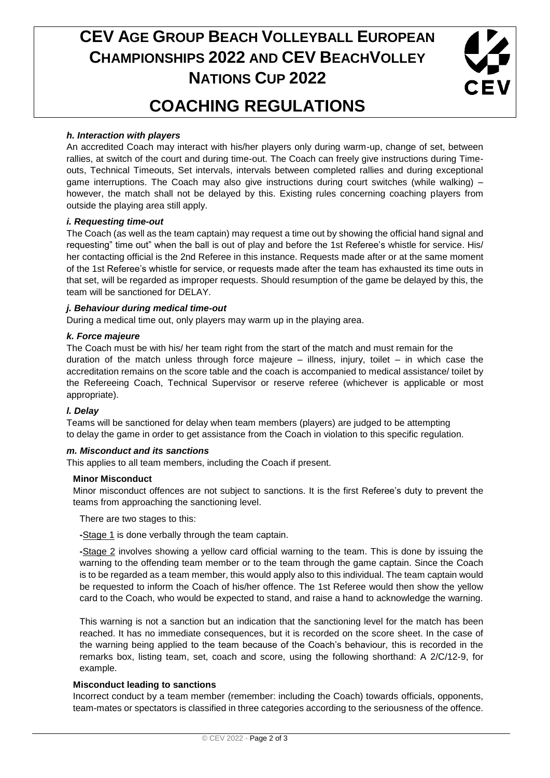# **CEV AGE GROUP BEACH VOLLEYBALL EUROPEAN CHAMPIONSHIPS 2022 AND CEV BEACHVOLLEY NATIONS CUP 2022**



# **COACHING REGULATIONS**

#### *h. Interaction with players*

An accredited Coach may interact with his/her players only during warm-up, change of set, between rallies, at switch of the court and during time-out. The Coach can freely give instructions during Timeouts, Technical Timeouts, Set intervals, intervals between completed rallies and during exceptional game interruptions. The Coach may also give instructions during court switches (while walking) – however, the match shall not be delayed by this. Existing rules concerning coaching players from outside the playing area still apply.

#### *i. Requesting time-out*

The Coach (as well as the team captain) may request a time out by showing the official hand signal and requesting" time out" when the ball is out of play and before the 1st Referee's whistle for service. His/ her contacting official is the 2nd Referee in this instance. Requests made after or at the same moment of the 1st Referee's whistle for service, or requests made after the team has exhausted its time outs in that set, will be regarded as improper requests. Should resumption of the game be delayed by this, the team will be sanctioned for DELAY.

#### *j. Behaviour during medical time-out*

During a medical time out, only players may warm up in the playing area.

#### *k. Force majeure*

The Coach must be with his/ her team right from the start of the match and must remain for the duration of the match unless through force majeure – illness, injury, toilet – in which case the accreditation remains on the score table and the coach is accompanied to medical assistance/ toilet by the Refereeing Coach, Technical Supervisor or reserve referee (whichever is applicable or most appropriate).

#### *l. Delay*

Teams will be sanctioned for delay when team members (players) are judged to be attempting to delay the game in order to get assistance from the Coach in violation to this specific regulation.

#### *m. Misconduct and its sanctions*

This applies to all team members, including the Coach if present.

#### **Minor Misconduct**

Minor misconduct offences are not subject to sanctions. It is the first Referee's duty to prevent the teams from approaching the sanctioning level.

There are two stages to this:

**-**Stage 1 is done verbally through the team captain.

**-**Stage 2 involves showing a yellow card official warning to the team. This is done by issuing the warning to the offending team member or to the team through the game captain. Since the Coach is to be regarded as a team member, this would apply also to this individual. The team captain would be requested to inform the Coach of his/her offence. The 1st Referee would then show the yellow card to the Coach, who would be expected to stand, and raise a hand to acknowledge the warning.

This warning is not a sanction but an indication that the sanctioning level for the match has been reached. It has no immediate consequences, but it is recorded on the score sheet. In the case of the warning being applied to the team because of the Coach's behaviour, this is recorded in the remarks box, listing team, set, coach and score, using the following shorthand: A 2/C/12-9, for example.

#### **Misconduct leading to sanctions**

Incorrect conduct by a team member (remember: including the Coach) towards officials, opponents, team-mates or spectators is classified in three categories according to the seriousness of the offence.